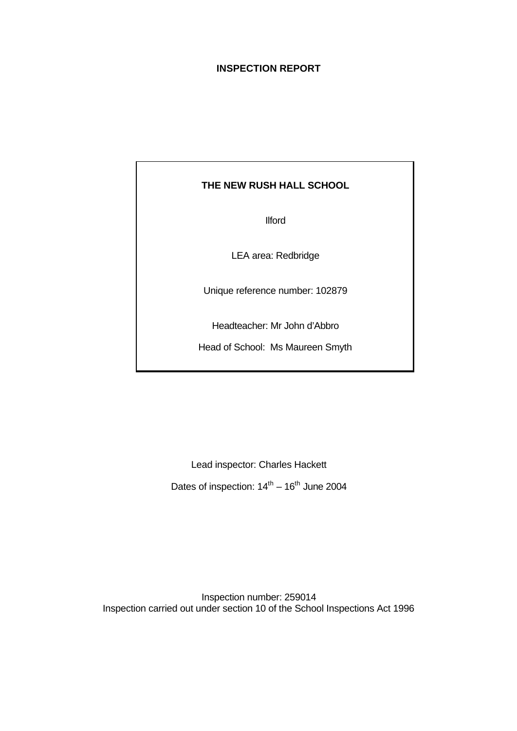# **INSPECTION REPORT**

# **THE NEW RUSH HALL SCHOOL**

Ilford

LEA area: Redbridge

Unique reference number: 102879

Headteacher: Mr John d'Abbro

Head of School: Ms Maureen Smyth

Lead inspector: Charles Hackett Dates of inspection:  $14^{th} - 16^{th}$  June 2004

Inspection number: 259014 Inspection carried out under section 10 of the School Inspections Act 1996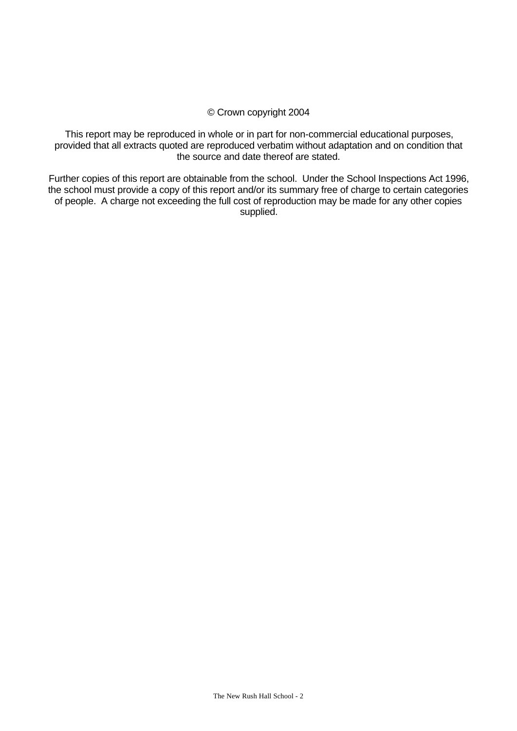# © Crown copyright 2004

This report may be reproduced in whole or in part for non-commercial educational purposes, provided that all extracts quoted are reproduced verbatim without adaptation and on condition that the source and date thereof are stated.

Further copies of this report are obtainable from the school. Under the School Inspections Act 1996, the school must provide a copy of this report and/or its summary free of charge to certain categories of people. A charge not exceeding the full cost of reproduction may be made for any other copies supplied.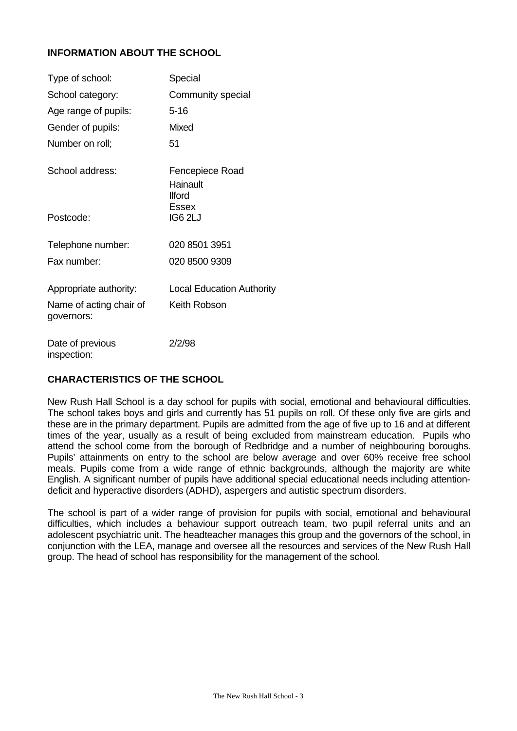# **INFORMATION ABOUT THE SCHOOL**

| Type of school:                       | Special                                      |
|---------------------------------------|----------------------------------------------|
| School category:                      | Community special                            |
| Age range of pupils:                  | $5 - 16$                                     |
| Gender of pupils:                     | Mixed                                        |
| Number on roll;                       | 51                                           |
| School address:                       | Fencepiece Road<br>Hainault<br><b>Ilford</b> |
| Postcode:                             | Essex<br>IG6 2LJ                             |
| Telephone number:                     | 020 8501 3951                                |
| Fax number:                           | 020 8500 9309                                |
| Appropriate authority:                | <b>Local Education Authority</b>             |
| Name of acting chair of<br>governors: | Keith Robson                                 |
| Date of previous                      | 2/2/98                                       |

# **CHARACTERISTICS OF THE SCHOOL**

inspection:

New Rush Hall School is a day school for pupils with social, emotional and behavioural difficulties. The school takes boys and girls and currently has 51 pupils on roll. Of these only five are girls and these are in the primary department. Pupils are admitted from the age of five up to 16 and at different times of the year, usually as a result of being excluded from mainstream education. Pupils who attend the school come from the borough of Redbridge and a number of neighbouring boroughs. Pupils' attainments on entry to the school are below average and over 60% receive free school meals. Pupils come from a wide range of ethnic backgrounds, although the majority are white English. A significant number of pupils have additional special educational needs including attentiondeficit and hyperactive disorders (ADHD), aspergers and autistic spectrum disorders.

The school is part of a wider range of provision for pupils with social, emotional and behavioural difficulties, which includes a behaviour support outreach team, two pupil referral units and an adolescent psychiatric unit. The headteacher manages this group and the governors of the school, in conjunction with the LEA, manage and oversee all the resources and services of the New Rush Hall group. The head of school has responsibility for the management of the school.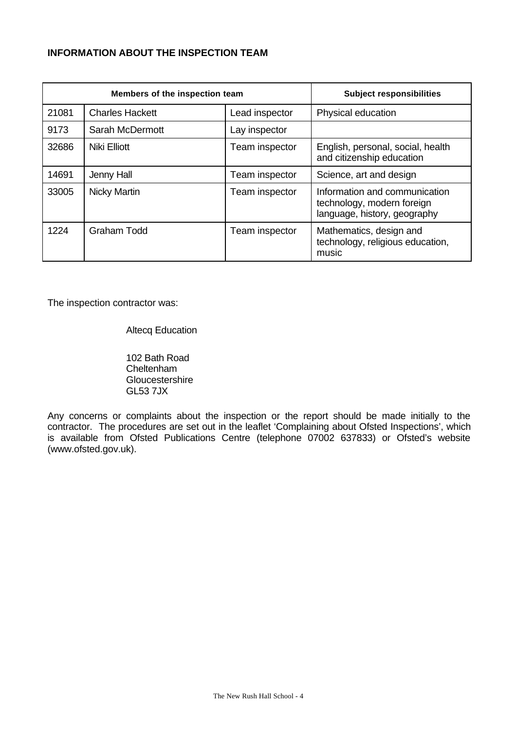# **INFORMATION ABOUT THE INSPECTION TEAM**

| Members of the inspection team |                        |                | <b>Subject responsibilities</b>                                                             |
|--------------------------------|------------------------|----------------|---------------------------------------------------------------------------------------------|
| 21081                          | <b>Charles Hackett</b> | Lead inspector | Physical education                                                                          |
| 9173                           | Sarah McDermott        | Lay inspector  |                                                                                             |
| 32686                          | <b>Niki Elliott</b>    | Team inspector | English, personal, social, health<br>and citizenship education                              |
| 14691                          | Jenny Hall             | Team inspector | Science, art and design                                                                     |
| 33005                          | Nicky Martin           | Team inspector | Information and communication<br>technology, modern foreign<br>language, history, geography |
| 1224                           | <b>Graham Todd</b>     | Team inspector | Mathematics, design and<br>technology, religious education,<br>music                        |

The inspection contractor was:

Altecq Education

102 Bath Road Cheltenham **Gloucestershire** GL53 7JX

Any concerns or complaints about the inspection or the report should be made initially to the contractor. The procedures are set out in the leaflet 'Complaining about Ofsted Inspections', which is available from Ofsted Publications Centre (telephone 07002 637833) or Ofsted's website (www.ofsted.gov.uk).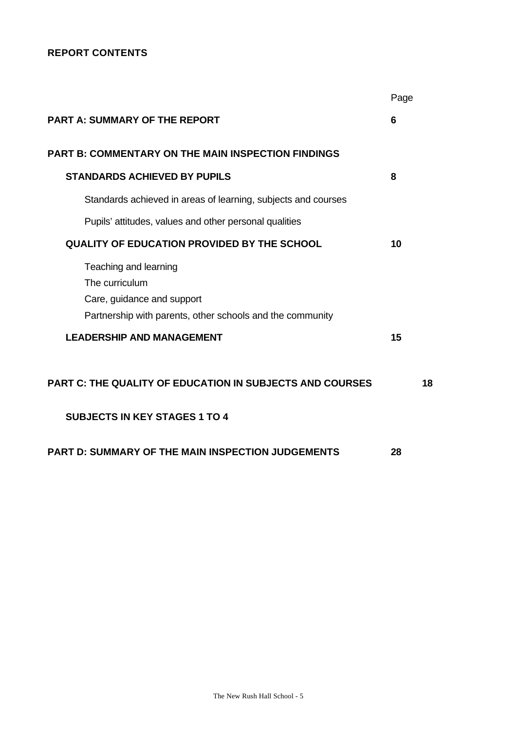# **REPORT CONTENTS**

|                                                                                                                                    | Page |    |
|------------------------------------------------------------------------------------------------------------------------------------|------|----|
| <b>PART A: SUMMARY OF THE REPORT</b>                                                                                               | 6    |    |
| <b>PART B: COMMENTARY ON THE MAIN INSPECTION FINDINGS</b>                                                                          |      |    |
| <b>STANDARDS ACHIEVED BY PUPILS</b>                                                                                                | 8    |    |
| Standards achieved in areas of learning, subjects and courses                                                                      |      |    |
| Pupils' attitudes, values and other personal qualities                                                                             |      |    |
| <b>QUALITY OF EDUCATION PROVIDED BY THE SCHOOL</b>                                                                                 | 10   |    |
| Teaching and learning<br>The curriculum<br>Care, guidance and support<br>Partnership with parents, other schools and the community |      |    |
| <b>LEADERSHIP AND MANAGEMENT</b>                                                                                                   | 15   |    |
| <b>PART C: THE QUALITY OF EDUCATION IN SUBJECTS AND COURSES</b>                                                                    |      | 18 |
| <b>SUBJECTS IN KEY STAGES 1 TO 4</b>                                                                                               |      |    |
| <b>PART D: SUMMARY OF THE MAIN INSPECTION JUDGEMENTS</b>                                                                           | 28   |    |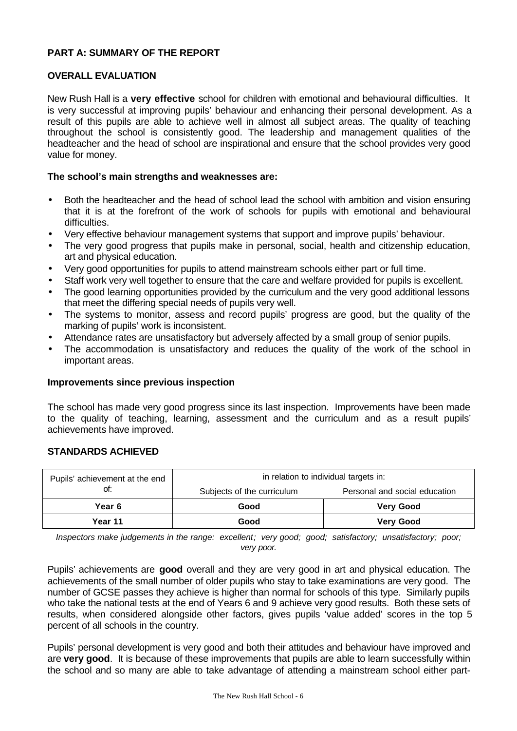# **PART A: SUMMARY OF THE REPORT**

## **OVERALL EVALUATION**

New Rush Hall is a **very effective** school for children with emotional and behavioural difficulties. It is very successful at improving pupils' behaviour and enhancing their personal development. As a result of this pupils are able to achieve well in almost all subject areas. The quality of teaching throughout the school is consistently good. The leadership and management qualities of the headteacher and the head of school are inspirational and ensure that the school provides very good value for money.

# **The school's main strengths and weaknesses are:**

- Both the headteacher and the head of school lead the school with ambition and vision ensuring that it is at the forefront of the work of schools for pupils with emotional and behavioural difficulties.
- Very effective behaviour management systems that support and improve pupils' behaviour.
- The very good progress that pupils make in personal, social, health and citizenship education, art and physical education.
- Very good opportunities for pupils to attend mainstream schools either part or full time.
- Staff work very well together to ensure that the care and welfare provided for pupils is excellent.
- The good learning opportunities provided by the curriculum and the very good additional lessons that meet the differing special needs of pupils very well.
- The systems to monitor, assess and record pupils' progress are good, but the quality of the marking of pupils' work is inconsistent.
- Attendance rates are unsatisfactory but adversely affected by a small group of senior pupils.
- The accommodation is unsatisfactory and reduces the quality of the work of the school in important areas.

#### **Improvements since previous inspection**

The school has made very good progress since its last inspection. Improvements have been made to the quality of teaching, learning, assessment and the curriculum and as a result pupils' achievements have improved.

# **STANDARDS ACHIEVED**

| Pupils' achievement at the end | in relation to individual targets in: |                               |  |  |
|--------------------------------|---------------------------------------|-------------------------------|--|--|
| ot:                            | Subjects of the curriculum            | Personal and social education |  |  |
| Year 6                         | Good                                  | <b>Very Good</b>              |  |  |
| Year 11                        | Good                                  | <b>Very Good</b>              |  |  |

*Inspectors make judgements in the range: excellent; very good; good; satisfactory; unsatisfactory; poor; very poor.*

Pupils' achievements are **good** overall and they are very good in art and physical education. The achievements of the small number of older pupils who stay to take examinations are very good. The number of GCSE passes they achieve is higher than normal for schools of this type. Similarly pupils who take the national tests at the end of Years 6 and 9 achieve very good results. Both these sets of results, when considered alongside other factors, gives pupils 'value added' scores in the top 5 percent of all schools in the country.

Pupils' personal development is very good and both their attitudes and behaviour have improved and are **very good**. It is because of these improvements that pupils are able to learn successfully within the school and so many are able to take advantage of attending a mainstream school either part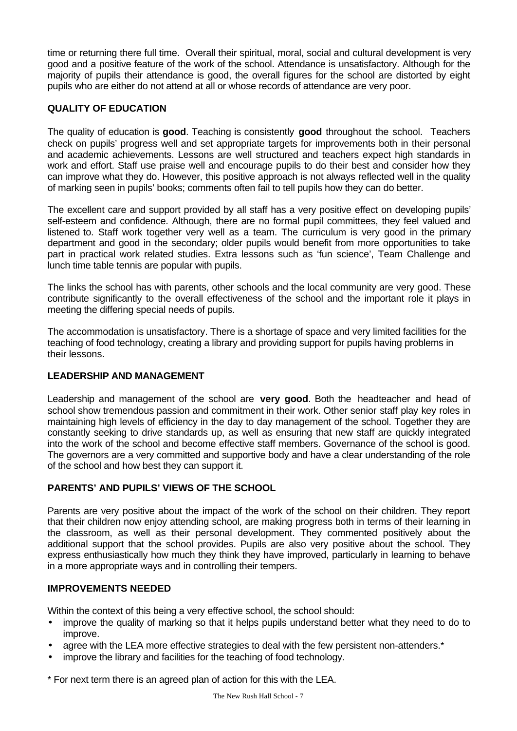time or returning there full time. Overall their spiritual, moral, social and cultural development is very good and a positive feature of the work of the school. Attendance is unsatisfactory. Although for the majority of pupils their attendance is good, the overall figures for the school are distorted by eight pupils who are either do not attend at all or whose records of attendance are very poor.

# **QUALITY OF EDUCATION**

The quality of education is **good**. Teaching is consistently **good** throughout the school. Teachers check on pupils' progress well and set appropriate targets for improvements both in their personal and academic achievements. Lessons are well structured and teachers expect high standards in work and effort. Staff use praise well and encourage pupils to do their best and consider how they can improve what they do. However, this positive approach is not always reflected well in the quality of marking seen in pupils' books; comments often fail to tell pupils how they can do better.

The excellent care and support provided by all staff has a very positive effect on developing pupils' self-esteem and confidence. Although, there are no formal pupil committees, they feel valued and listened to. Staff work together very well as a team. The curriculum is very good in the primary department and good in the secondary; older pupils would benefit from more opportunities to take part in practical work related studies. Extra lessons such as 'fun science', Team Challenge and lunch time table tennis are popular with pupils.

The links the school has with parents, other schools and the local community are very good. These contribute significantly to the overall effectiveness of the school and the important role it plays in meeting the differing special needs of pupils.

The accommodation is unsatisfactory. There is a shortage of space and very limited facilities for the teaching of food technology, creating a library and providing support for pupils having problems in their lessons.

# **LEADERSHIP AND MANAGEMENT**

Leadership and management of the school are **very good**. Both the headteacher and head of school show tremendous passion and commitment in their work. Other senior staff play key roles in maintaining high levels of efficiency in the day to day management of the school. Together they are constantly seeking to drive standards up, as well as ensuring that new staff are quickly integrated into the work of the school and become effective staff members. Governance of the school is good. The governors are a very committed and supportive body and have a clear understanding of the role of the school and how best they can support it.

# **PARENTS' AND PUPILS' VIEWS OF THE SCHOOL**

Parents are very positive about the impact of the work of the school on their children. They report that their children now enjoy attending school, are making progress both in terms of their learning in the classroom, as well as their personal development. They commented positively about the additional support that the school provides. Pupils are also very positive about the school. They express enthusiastically how much they think they have improved, particularly in learning to behave in a more appropriate ways and in controlling their tempers.

# **IMPROVEMENTS NEEDED**

Within the context of this being a very effective school, the school should:

- improve the quality of marking so that it helps pupils understand better what they need to do to improve.
- agree with the LEA more effective strategies to deal with the few persistent non-attenders.\*
- improve the library and facilities for the teaching of food technology.

\* For next term there is an agreed plan of action for this with the LEA.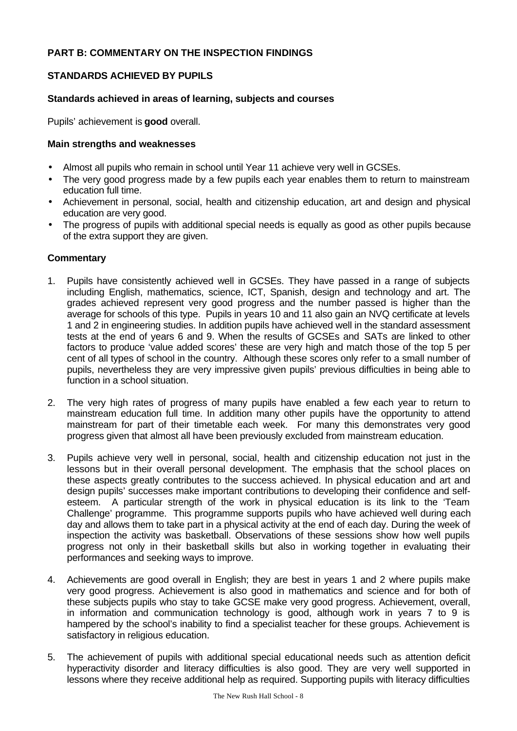# **PART B: COMMENTARY ON THE INSPECTION FINDINGS**

# **STANDARDS ACHIEVED BY PUPILS**

## **Standards achieved in areas of learning, subjects and courses**

Pupils' achievement is **good** overall.

### **Main strengths and weaknesses**

- Almost all pupils who remain in school until Year 11 achieve very well in GCSEs.
- The very good progress made by a few pupils each year enables them to return to mainstream education full time.
- Achievement in personal, social, health and citizenship education, art and design and physical education are very good.
- The progress of pupils with additional special needs is equally as good as other pupils because of the extra support they are given.

- 1. Pupils have consistently achieved well in GCSEs. They have passed in a range of subjects including English, mathematics, science, ICT, Spanish, design and technology and art. The grades achieved represent very good progress and the number passed is higher than the average for schools of this type. Pupils in years 10 and 11 also gain an NVQ certificate at levels 1 and 2 in engineering studies. In addition pupils have achieved well in the standard assessment tests at the end of years 6 and 9. When the results of GCSEs and SATs are linked to other factors to produce 'value added scores' these are very high and match those of the top 5 per cent of all types of school in the country. Although these scores only refer to a small number of pupils, nevertheless they are very impressive given pupils' previous difficulties in being able to function in a school situation.
- 2. The very high rates of progress of many pupils have enabled a few each year to return to mainstream education full time. In addition many other pupils have the opportunity to attend mainstream for part of their timetable each week. For many this demonstrates very good progress given that almost all have been previously excluded from mainstream education.
- 3. Pupils achieve very well in personal, social, health and citizenship education not just in the lessons but in their overall personal development. The emphasis that the school places on these aspects greatly contributes to the success achieved. In physical education and art and design pupils' successes make important contributions to developing their confidence and selfesteem. A particular strength of the work in physical education is its link to the 'Team Challenge' programme. This programme supports pupils who have achieved well during each day and allows them to take part in a physical activity at the end of each day. During the week of inspection the activity was basketball. Observations of these sessions show how well pupils progress not only in their basketball skills but also in working together in evaluating their performances and seeking ways to improve.
- 4. Achievements are good overall in English; they are best in years 1 and 2 where pupils make very good progress. Achievement is also good in mathematics and science and for both of these subjects pupils who stay to take GCSE make very good progress. Achievement, overall, in information and communication technology is good, although work in years 7 to 9 is hampered by the school's inability to find a specialist teacher for these groups. Achievement is satisfactory in religious education.
- 5. The achievement of pupils with additional special educational needs such as attention deficit hyperactivity disorder and literacy difficulties is also good. They are very well supported in lessons where they receive additional help as required. Supporting pupils with literacy difficulties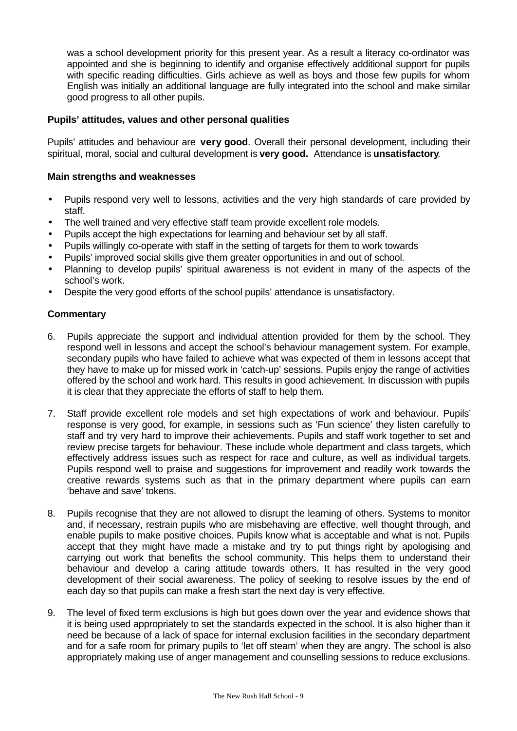was a school development priority for this present year. As a result a literacy co-ordinator was appointed and she is beginning to identify and organise effectively additional support for pupils with specific reading difficulties. Girls achieve as well as boys and those few pupils for whom English was initially an additional language are fully integrated into the school and make similar good progress to all other pupils.

# **Pupils' attitudes, values and other personal qualities**

Pupils' attitudes and behaviour are **very good**. Overall their personal development, including their spiritual, moral, social and cultural development is **very good.** Attendance is **unsatisfactory**.

# **Main strengths and weaknesses**

- Pupils respond very well to lessons, activities and the very high standards of care provided by staff.
- The well trained and very effective staff team provide excellent role models.
- Pupils accept the high expectations for learning and behaviour set by all staff.
- Pupils willingly co-operate with staff in the setting of targets for them to work towards
- Pupils' improved social skills give them greater opportunities in and out of school.
- Planning to develop pupils' spiritual awareness is not evident in many of the aspects of the school's work.
- Despite the very good efforts of the school pupils' attendance is unsatisfactory.

- 6. Pupils appreciate the support and individual attention provided for them by the school. They respond well in lessons and accept the school's behaviour management system. For example, secondary pupils who have failed to achieve what was expected of them in lessons accept that they have to make up for missed work in 'catch-up' sessions. Pupils enjoy the range of activities offered by the school and work hard. This results in good achievement. In discussion with pupils it is clear that they appreciate the efforts of staff to help them.
- 7. Staff provide excellent role models and set high expectations of work and behaviour. Pupils' response is very good, for example, in sessions such as 'Fun science' they listen carefully to staff and try very hard to improve their achievements. Pupils and staff work together to set and review precise targets for behaviour. These include whole department and class targets, which effectively address issues such as respect for race and culture, as well as individual targets. Pupils respond well to praise and suggestions for improvement and readily work towards the creative rewards systems such as that in the primary department where pupils can earn 'behave and save' tokens.
- 8. Pupils recognise that they are not allowed to disrupt the learning of others. Systems to monitor and, if necessary, restrain pupils who are misbehaving are effective, well thought through, and enable pupils to make positive choices. Pupils know what is acceptable and what is not. Pupils accept that they might have made a mistake and try to put things right by apologising and carrying out work that benefits the school community. This helps them to understand their behaviour and develop a caring attitude towards others. It has resulted in the very good development of their social awareness. The policy of seeking to resolve issues by the end of each day so that pupils can make a fresh start the next day is very effective.
- 9. The level of fixed term exclusions is high but goes down over the year and evidence shows that it is being used appropriately to set the standards expected in the school. It is also higher than it need be because of a lack of space for internal exclusion facilities in the secondary department and for a safe room for primary pupils to 'let off steam' when they are angry. The school is also appropriately making use of anger management and counselling sessions to reduce exclusions.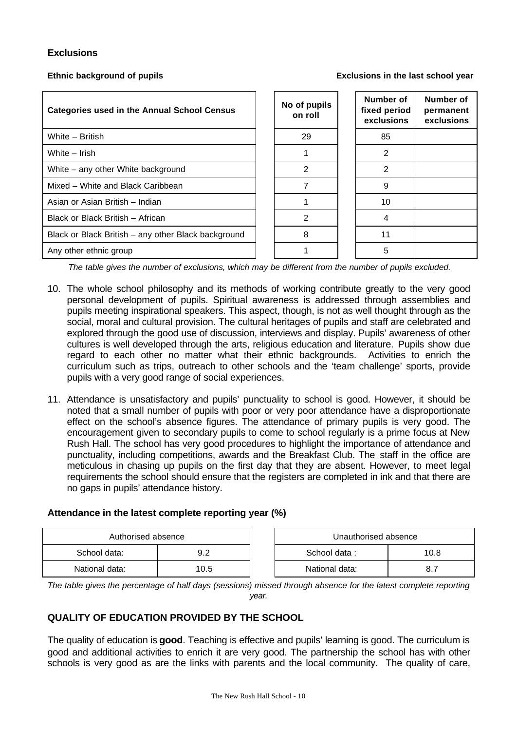# **Exclusions**

**Ethnic background of pupils Exclusions in the last school year**

| <b>Categories used in the Annual School Census</b>  | No of pupils<br>on roll | Number of<br>fixed period<br>exclusions | Number of<br>permanent<br>exclusions |
|-----------------------------------------------------|-------------------------|-----------------------------------------|--------------------------------------|
| White - British                                     | 29                      | 85                                      |                                      |
| White – Irish                                       |                         | 2                                       |                                      |
| White – any other White background                  | $\mathfrak{p}$          | 2                                       |                                      |
| Mixed - White and Black Caribbean                   |                         | 9                                       |                                      |
| Asian or Asian British - Indian                     |                         | 10                                      |                                      |
| Black or Black British - African                    | 2                       | 4                                       |                                      |
| Black or Black British - any other Black background | 8                       | 11                                      |                                      |
| Any other ethnic group                              |                         | 5                                       |                                      |

*The table gives the number of exclusions, which may be different from the number of pupils excluded.*

- 10. The whole school philosophy and its methods of working contribute greatly to the very good personal development of pupils. Spiritual awareness is addressed through assemblies and pupils meeting inspirational speakers. This aspect, though, is not as well thought through as the social, moral and cultural provision. The cultural heritages of pupils and staff are celebrated and explored through the good use of discussion, interviews and display. Pupils' awareness of other cultures is well developed through the arts, religious education and literature. Pupils show due regard to each other no matter what their ethnic backgrounds. Activities to enrich the curriculum such as trips, outreach to other schools and the 'team challenge' sports, provide pupils with a very good range of social experiences.
- 11. Attendance is unsatisfactory and pupils' punctuality to school is good. However, it should be noted that a small number of pupils with poor or very poor attendance have a disproportionate effect on the school's absence figures. The attendance of primary pupils is very good. The encouragement given to secondary pupils to come to school regularly is a prime focus at New Rush Hall. The school has very good procedures to highlight the importance of attendance and punctuality, including competitions, awards and the Breakfast Club. The staff in the office are meticulous in chasing up pupils on the first day that they are absent. However, to meet legal requirements the school should ensure that the registers are completed in ink and that there are no gaps in pupils' attendance history.

# **Attendance in the latest complete reporting year (%)**

| Authorised absence |      | Unauthorised absence |  |
|--------------------|------|----------------------|--|
| School data:       | 9.2  | School data:<br>10.8 |  |
| National data:     | 10.5 | National data:       |  |

*The table gives the percentage of half days (sessions) missed through absence for the latest complete reporting year.*

# **QUALITY OF EDUCATION PROVIDED BY THE SCHOOL**

The quality of education is **good**. Teaching is effective and pupils' learning is good. The curriculum is good and additional activities to enrich it are very good. The partnership the school has with other schools is very good as are the links with parents and the local community. The quality of care,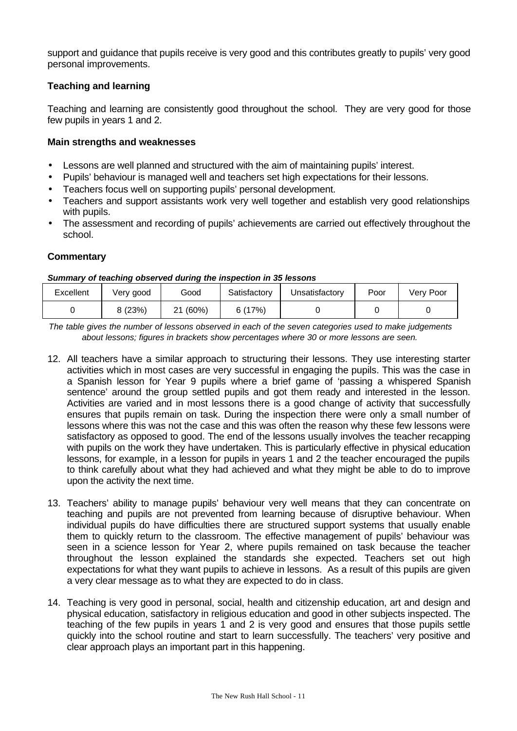support and guidance that pupils receive is very good and this contributes greatly to pupils' very good personal improvements.

# **Teaching and learning**

Teaching and learning are consistently good throughout the school. They are very good for those few pupils in years 1 and 2.

# **Main strengths and weaknesses**

- Lessons are well planned and structured with the aim of maintaining pupils' interest.
- Pupils' behaviour is managed well and teachers set high expectations for their lessons.
- Teachers focus well on supporting pupils' personal development.
- Teachers and support assistants work very well together and establish very good relationships with pupils.
- The assessment and recording of pupils' achievements are carried out effectively throughout the school.

# **Commentary**

### *Summary of teaching observed during the inspection in 35 lessons*

| Excellent | Very good | Good     | Satisfactory | Unsatisfactory | Poor | Very Poor |
|-----------|-----------|----------|--------------|----------------|------|-----------|
|           | 9(23%)    | $(60\%)$ | 6 (17%)      |                |      |           |

*The table gives the number of lessons observed in each of the seven categories used to make judgements about lessons; figures in brackets show percentages where 30 or more lessons are seen.*

- 12. All teachers have a similar approach to structuring their lessons. They use interesting starter activities which in most cases are very successful in engaging the pupils. This was the case in a Spanish lesson for Year 9 pupils where a brief game of 'passing a whispered Spanish sentence' around the group settled pupils and got them ready and interested in the lesson. Activities are varied and in most lessons there is a good change of activity that successfully ensures that pupils remain on task. During the inspection there were only a small number of lessons where this was not the case and this was often the reason why these few lessons were satisfactory as opposed to good. The end of the lessons usually involves the teacher recapping with pupils on the work they have undertaken. This is particularly effective in physical education lessons, for example, in a lesson for pupils in years 1 and 2 the teacher encouraged the pupils to think carefully about what they had achieved and what they might be able to do to improve upon the activity the next time.
- 13. Teachers' ability to manage pupils' behaviour very well means that they can concentrate on teaching and pupils are not prevented from learning because of disruptive behaviour. When individual pupils do have difficulties there are structured support systems that usually enable them to quickly return to the classroom. The effective management of pupils' behaviour was seen in a science lesson for Year 2, where pupils remained on task because the teacher throughout the lesson explained the standards she expected. Teachers set out high expectations for what they want pupils to achieve in lessons. As a result of this pupils are given a very clear message as to what they are expected to do in class.
- 14. Teaching is very good in personal, social, health and citizenship education, art and design and physical education, satisfactory in religious education and good in other subjects inspected. The teaching of the few pupils in years 1 and 2 is very good and ensures that those pupils settle quickly into the school routine and start to learn successfully. The teachers' very positive and clear approach plays an important part in this happening.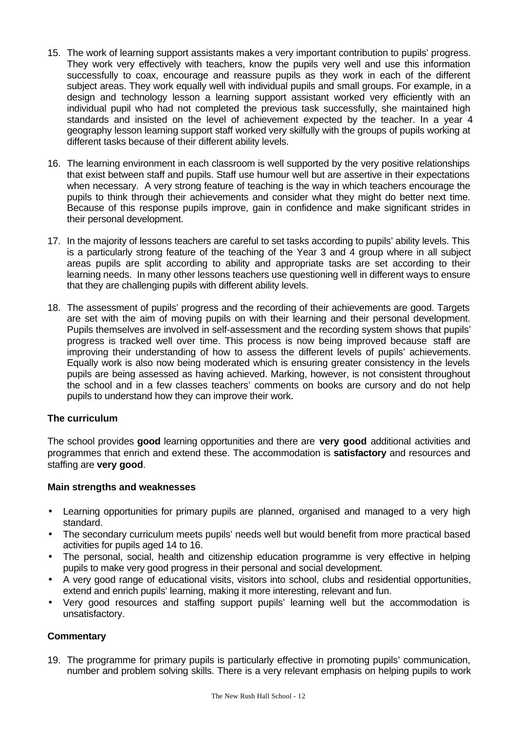- 15. The work of learning support assistants makes a very important contribution to pupils' progress. They work very effectively with teachers, know the pupils very well and use this information successfully to coax, encourage and reassure pupils as they work in each of the different subject areas. They work equally well with individual pupils and small groups. For example, in a design and technology lesson a learning support assistant worked very efficiently with an individual pupil who had not completed the previous task successfully, she maintained high standards and insisted on the level of achievement expected by the teacher. In a year 4 geography lesson learning support staff worked very skilfully with the groups of pupils working at different tasks because of their different ability levels.
- 16. The learning environment in each classroom is well supported by the very positive relationships that exist between staff and pupils. Staff use humour well but are assertive in their expectations when necessary. A very strong feature of teaching is the way in which teachers encourage the pupils to think through their achievements and consider what they might do better next time. Because of this response pupils improve, gain in confidence and make significant strides in their personal development.
- 17. In the majority of lessons teachers are careful to set tasks according to pupils' ability levels. This is a particularly strong feature of the teaching of the Year 3 and 4 group where in all subject areas pupils are split according to ability and appropriate tasks are set according to their learning needs. In many other lessons teachers use questioning well in different ways to ensure that they are challenging pupils with different ability levels.
- 18. The assessment of pupils' progress and the recording of their achievements are good. Targets are set with the aim of moving pupils on with their learning and their personal development. Pupils themselves are involved in self-assessment and the recording system shows that pupils' progress is tracked well over time. This process is now being improved because staff are improving their understanding of how to assess the different levels of pupils' achievements. Equally work is also now being moderated which is ensuring greater consistency in the levels pupils are being assessed as having achieved. Marking, however, is not consistent throughout the school and in a few classes teachers' comments on books are cursory and do not help pupils to understand how they can improve their work.

# **The curriculum**

The school provides **good** learning opportunities and there are **very good** additional activities and programmes that enrich and extend these. The accommodation is **satisfactory** and resources and staffing are **very good**.

# **Main strengths and weaknesses**

- Learning opportunities for primary pupils are planned, organised and managed to a very high standard.
- The secondary curriculum meets pupils' needs well but would benefit from more practical based activities for pupils aged 14 to 16.
- The personal, social, health and citizenship education programme is very effective in helping pupils to make very good progress in their personal and social development.
- A very good range of educational visits, visitors into school, clubs and residential opportunities, extend and enrich pupils' learning, making it more interesting, relevant and fun.
- Very good resources and staffing support pupils' learning well but the accommodation is unsatisfactory.

# **Commentary**

19. The programme for primary pupils is particularly effective in promoting pupils' communication, number and problem solving skills. There is a very relevant emphasis on helping pupils to work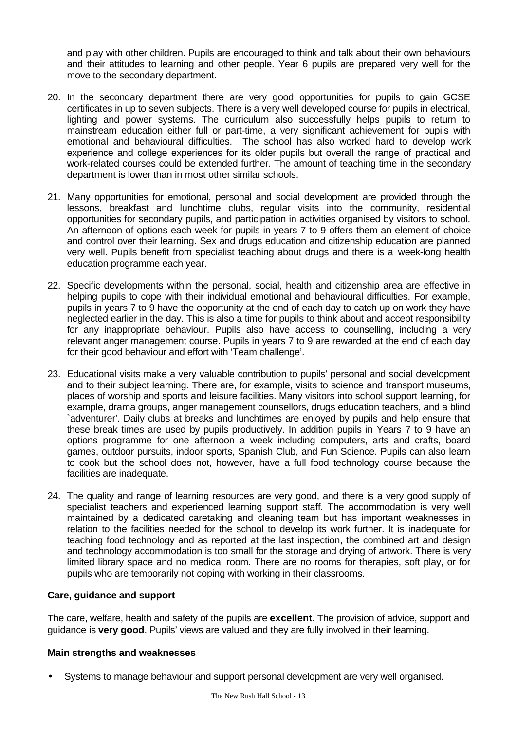and play with other children. Pupils are encouraged to think and talk about their own behaviours and their attitudes to learning and other people. Year 6 pupils are prepared very well for the move to the secondary department.

- 20. In the secondary department there are very good opportunities for pupils to gain GCSE certificates in up to seven subjects. There is a very well developed course for pupils in electrical, lighting and power systems. The curriculum also successfully helps pupils to return to mainstream education either full or part-time, a very significant achievement for pupils with emotional and behavioural difficulties. The school has also worked hard to develop work experience and college experiences for its older pupils but overall the range of practical and work-related courses could be extended further. The amount of teaching time in the secondary department is lower than in most other similar schools.
- 21. Many opportunities for emotional, personal and social development are provided through the lessons, breakfast and lunchtime clubs, regular visits into the community, residential opportunities for secondary pupils, and participation in activities organised by visitors to school. An afternoon of options each week for pupils in years 7 to 9 offers them an element of choice and control over their learning. Sex and drugs education and citizenship education are planned very well. Pupils benefit from specialist teaching about drugs and there is a week-long health education programme each year.
- 22. Specific developments within the personal, social, health and citizenship area are effective in helping pupils to cope with their individual emotional and behavioural difficulties. For example, pupils in years 7 to 9 have the opportunity at the end of each day to catch up on work they have neglected earlier in the day. This is also a time for pupils to think about and accept responsibility for any inappropriate behaviour. Pupils also have access to counselling, including a very relevant anger management course. Pupils in years 7 to 9 are rewarded at the end of each day for their good behaviour and effort with 'Team challenge'.
- 23. Educational visits make a very valuable contribution to pupils' personal and social development and to their subject learning. There are, for example, visits to science and transport museums, places of worship and sports and leisure facilities. Many visitors into school support learning, for example, drama groups, anger management counsellors, drugs education teachers, and a blind `adventurer'. Daily clubs at breaks and lunchtimes are enjoyed by pupils and help ensure that these break times are used by pupils productively. In addition pupils in Years 7 to 9 have an options programme for one afternoon a week including computers, arts and crafts, board games, outdoor pursuits, indoor sports, Spanish Club, and Fun Science. Pupils can also learn to cook but the school does not, however, have a full food technology course because the facilities are inadequate.
- 24. The quality and range of learning resources are very good, and there is a very good supply of specialist teachers and experienced learning support staff. The accommodation is very well maintained by a dedicated caretaking and cleaning team but has important weaknesses in relation to the facilities needed for the school to develop its work further. It is inadequate for teaching food technology and as reported at the last inspection, the combined art and design and technology accommodation is too small for the storage and drying of artwork. There is very limited library space and no medical room. There are no rooms for therapies, soft play, or for pupils who are temporarily not coping with working in their classrooms.

# **Care, guidance and support**

The care, welfare, health and safety of the pupils are **excellent**. The provision of advice, support and guidance is **very good**. Pupils' views are valued and they are fully involved in their learning.

# **Main strengths and weaknesses**

• Systems to manage behaviour and support personal development are very well organised.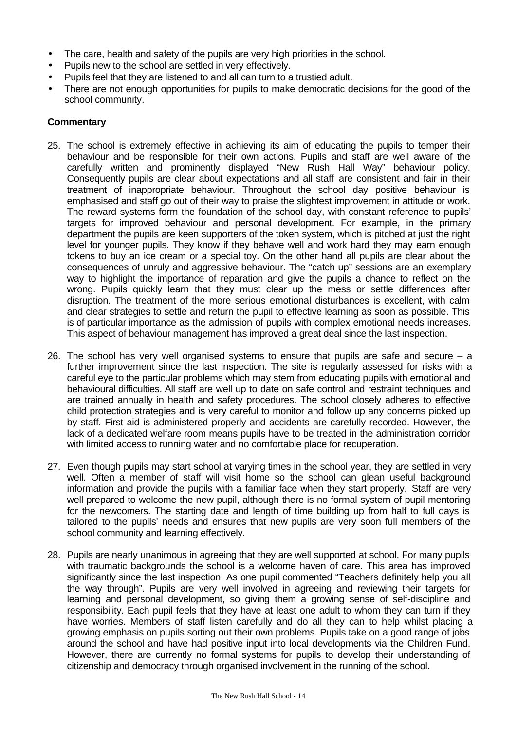- The care, health and safety of the pupils are very high priorities in the school.
- Pupils new to the school are settled in very effectively.
- Pupils feel that they are listened to and all can turn to a trustied adult.
- There are not enough opportunities for pupils to make democratic decisions for the good of the school community.

- 25. The school is extremely effective in achieving its aim of educating the pupils to temper their behaviour and be responsible for their own actions. Pupils and staff are well aware of the carefully written and prominently displayed "New Rush Hall Way" behaviour policy. Consequently pupils are clear about expectations and all staff are consistent and fair in their treatment of inappropriate behaviour. Throughout the school day positive behaviour is emphasised and staff go out of their way to praise the slightest improvement in attitude or work. The reward systems form the foundation of the school day, with constant reference to pupils' targets for improved behaviour and personal development. For example, in the primary department the pupils are keen supporters of the token system, which is pitched at just the right level for younger pupils. They know if they behave well and work hard they may earn enough tokens to buy an ice cream or a special toy. On the other hand all pupils are clear about the consequences of unruly and aggressive behaviour. The "catch up" sessions are an exemplary way to highlight the importance of reparation and give the pupils a chance to reflect on the wrong. Pupils quickly learn that they must clear up the mess or settle differences after disruption. The treatment of the more serious emotional disturbances is excellent, with calm and clear strategies to settle and return the pupil to effective learning as soon as possible. This is of particular importance as the admission of pupils with complex emotional needs increases. This aspect of behaviour management has improved a great deal since the last inspection.
- 26. The school has very well organised systems to ensure that pupils are safe and secure  $-$  a further improvement since the last inspection. The site is regularly assessed for risks with a careful eye to the particular problems which may stem from educating pupils with emotional and behavioural difficulties. All staff are well up to date on safe control and restraint techniques and are trained annually in health and safety procedures. The school closely adheres to effective child protection strategies and is very careful to monitor and follow up any concerns picked up by staff. First aid is administered properly and accidents are carefully recorded. However, the lack of a dedicated welfare room means pupils have to be treated in the administration corridor with limited access to running water and no comfortable place for recuperation.
- 27. Even though pupils may start school at varying times in the school year, they are settled in very well. Often a member of staff will visit home so the school can glean useful background information and provide the pupils with a familiar face when they start properly. Staff are very well prepared to welcome the new pupil, although there is no formal system of pupil mentoring for the newcomers. The starting date and length of time building up from half to full days is tailored to the pupils' needs and ensures that new pupils are very soon full members of the school community and learning effectively.
- 28. Pupils are nearly unanimous in agreeing that they are well supported at school. For many pupils with traumatic backgrounds the school is a welcome haven of care. This area has improved significantly since the last inspection. As one pupil commented "Teachers definitely help you all the way through". Pupils are very well involved in agreeing and reviewing their targets for learning and personal development, so giving them a growing sense of self-discipline and responsibility. Each pupil feels that they have at least one adult to whom they can turn if they have worries. Members of staff listen carefully and do all they can to help whilst placing a growing emphasis on pupils sorting out their own problems. Pupils take on a good range of jobs around the school and have had positive input into local developments via the Children Fund. However, there are currently no formal systems for pupils to develop their understanding of citizenship and democracy through organised involvement in the running of the school.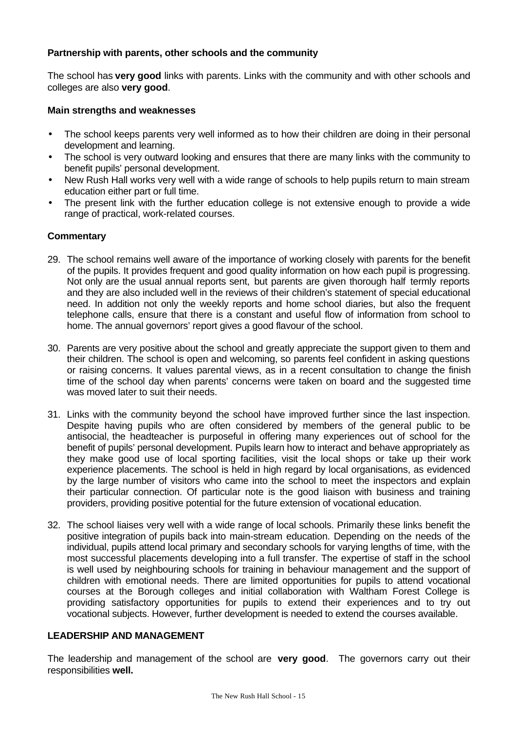# **Partnership with parents, other schools and the community**

The school has **very good** links with parents. Links with the community and with other schools and colleges are also **very good**.

# **Main strengths and weaknesses**

- The school keeps parents very well informed as to how their children are doing in their personal development and learning.
- The school is very outward looking and ensures that there are many links with the community to benefit pupils' personal development.
- New Rush Hall works very well with a wide range of schools to help pupils return to main stream education either part or full time.
- The present link with the further education college is not extensive enough to provide a wide range of practical, work-related courses.

# **Commentary**

- 29. The school remains well aware of the importance of working closely with parents for the benefit of the pupils. It provides frequent and good quality information on how each pupil is progressing. Not only are the usual annual reports sent, but parents are given thorough half termly reports and they are also included well in the reviews of their children's statement of special educational need. In addition not only the weekly reports and home school diaries, but also the frequent telephone calls, ensure that there is a constant and useful flow of information from school to home. The annual governors' report gives a good flavour of the school.
- 30. Parents are very positive about the school and greatly appreciate the support given to them and their children. The school is open and welcoming, so parents feel confident in asking questions or raising concerns. It values parental views, as in a recent consultation to change the finish time of the school day when parents' concerns were taken on board and the suggested time was moved later to suit their needs.
- 31. Links with the community beyond the school have improved further since the last inspection. Despite having pupils who are often considered by members of the general public to be antisocial, the headteacher is purposeful in offering many experiences out of school for the benefit of pupils' personal development. Pupils learn how to interact and behave appropriately as they make good use of local sporting facilities, visit the local shops or take up their work experience placements. The school is held in high regard by local organisations, as evidenced by the large number of visitors who came into the school to meet the inspectors and explain their particular connection. Of particular note is the good liaison with business and training providers, providing positive potential for the future extension of vocational education.
- 32. The school liaises very well with a wide range of local schools. Primarily these links benefit the positive integration of pupils back into main-stream education. Depending on the needs of the individual, pupils attend local primary and secondary schools for varying lengths of time, with the most successful placements developing into a full transfer. The expertise of staff in the school is well used by neighbouring schools for training in behaviour management and the support of children with emotional needs. There are limited opportunities for pupils to attend vocational courses at the Borough colleges and initial collaboration with Waltham Forest College is providing satisfactory opportunities for pupils to extend their experiences and to try out vocational subjects. However, further development is needed to extend the courses available.

# **LEADERSHIP AND MANAGEMENT**

The leadership and management of the school are **very good**. The governors carry out their responsibilities **well.**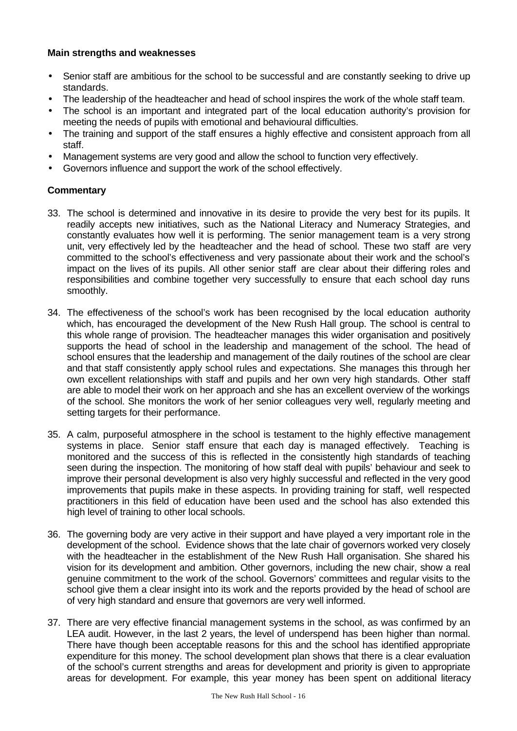# **Main strengths and weaknesses**

- Senior staff are ambitious for the school to be successful and are constantly seeking to drive up standards.
- The leadership of the headteacher and head of school inspires the work of the whole staff team.
- The school is an important and integrated part of the local education authority's provision for meeting the needs of pupils with emotional and behavioural difficulties.
- The training and support of the staff ensures a highly effective and consistent approach from all staff.
- Management systems are very good and allow the school to function very effectively.
- Governors influence and support the work of the school effectively.

- 33. The school is determined and innovative in its desire to provide the very best for its pupils. It readily accepts new initiatives, such as the National Literacy and Numeracy Strategies, and constantly evaluates how well it is performing. The senior management team is a very strong unit, very effectively led by the headteacher and the head of school. These two staff are very committed to the school's effectiveness and very passionate about their work and the school's impact on the lives of its pupils. All other senior staff are clear about their differing roles and responsibilities and combine together very successfully to ensure that each school day runs smoothly.
- 34. The effectiveness of the school's work has been recognised by the local education authority which, has encouraged the development of the New Rush Hall group. The school is central to this whole range of provision. The headteacher manages this wider organisation and positively supports the head of school in the leadership and management of the school. The head of school ensures that the leadership and management of the daily routines of the school are clear and that staff consistently apply school rules and expectations. She manages this through her own excellent relationships with staff and pupils and her own very high standards. Other staff are able to model their work on her approach and she has an excellent overview of the workings of the school. She monitors the work of her senior colleagues very well, regularly meeting and setting targets for their performance.
- 35. A calm, purposeful atmosphere in the school is testament to the highly effective management systems in place. Senior staff ensure that each day is managed effectively. Teaching is monitored and the success of this is reflected in the consistently high standards of teaching seen during the inspection. The monitoring of how staff deal with pupils' behaviour and seek to improve their personal development is also very highly successful and reflected in the very good improvements that pupils make in these aspects. In providing training for staff, well respected practitioners in this field of education have been used and the school has also extended this high level of training to other local schools.
- 36. The governing body are very active in their support and have played a very important role in the development of the school. Evidence shows that the late chair of governors worked very closely with the headteacher in the establishment of the New Rush Hall organisation. She shared his vision for its development and ambition. Other governors, including the new chair, show a real genuine commitment to the work of the school. Governors' committees and regular visits to the school give them a clear insight into its work and the reports provided by the head of school are of very high standard and ensure that governors are very well informed.
- 37. There are very effective financial management systems in the school, as was confirmed by an LEA audit. However, in the last 2 years, the level of underspend has been higher than normal. There have though been acceptable reasons for this and the school has identified appropriate expenditure for this money. The school development plan shows that there is a clear evaluation of the school's current strengths and areas for development and priority is given to appropriate areas for development. For example, this year money has been spent on additional literacy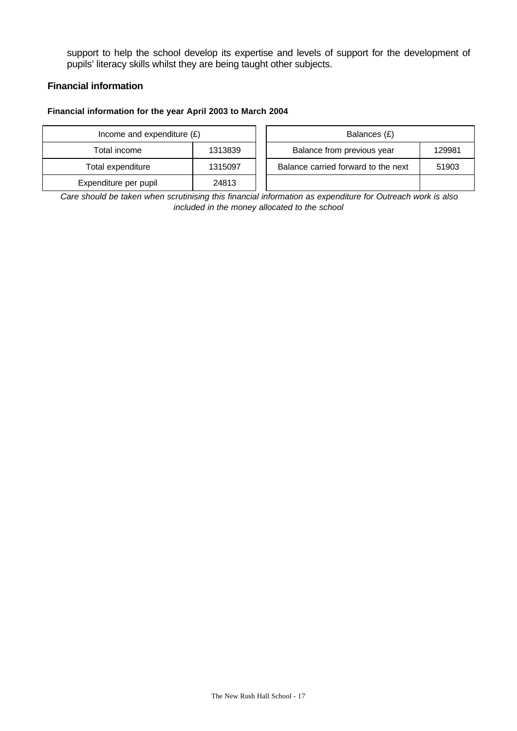support to help the school develop its expertise and levels of support for the development of pupils' literacy skills whilst they are being taught other subjects.

### **Financial information**

#### **Financial information for the year April 2003 to March 2004**

| Income and expenditure $(E)$ |         | Balances (£)                                 |
|------------------------------|---------|----------------------------------------------|
| Total income                 | 1313839 | Balance from previous year<br>129981         |
| Total expenditure            | 1315097 | Balance carried forward to the next<br>51903 |
| Expenditure per pupil        | 24813   |                                              |

*Care should be taken when scrutinising this financial information as expenditure for Outreach work is also included in the money allocated to the school*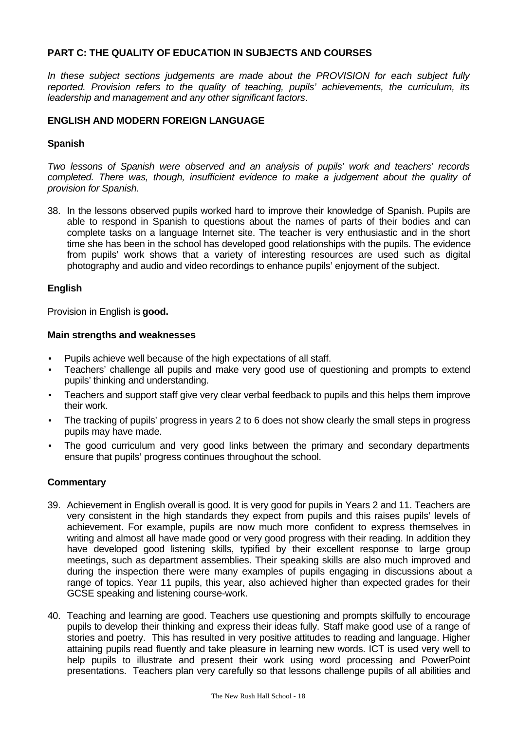# **PART C: THE QUALITY OF EDUCATION IN SUBJECTS AND COURSES**

*In these subject sections judgements are made about the PROVISION for each subject fully reported. Provision refers to the quality of teaching, pupils' achievements, the curriculum, its leadership and management and any other significant factors*.

# **ENGLISH AND MODERN FOREIGN LANGUAGE**

# **Spanish**

*Two lessons of Spanish were observed and an analysis of pupils' work and teachers' records completed. There was, though, insufficient evidence to make a judgement about the quality of provision for Spanish.*

38. In the lessons observed pupils worked hard to improve their knowledge of Spanish. Pupils are able to respond in Spanish to questions about the names of parts of their bodies and can complete tasks on a language Internet site. The teacher is very enthusiastic and in the short time she has been in the school has developed good relationships with the pupils. The evidence from pupils' work shows that a variety of interesting resources are used such as digital photography and audio and video recordings to enhance pupils' enjoyment of the subject.

# **English**

Provision in English is **good.**

### **Main strengths and weaknesses**

- Pupils achieve well because of the high expectations of all staff.
- Teachers' challenge all pupils and make very good use of questioning and prompts to extend pupils' thinking and understanding.
- Teachers and support staff give very clear verbal feedback to pupils and this helps them improve their work.
- The tracking of pupils' progress in years 2 to 6 does not show clearly the small steps in progress pupils may have made.
- The good curriculum and very good links between the primary and secondary departments ensure that pupils' progress continues throughout the school.

- 39. Achievement in English overall is good. It is very good for pupils in Years 2 and 11. Teachers are very consistent in the high standards they expect from pupils and this raises pupils' levels of achievement. For example, pupils are now much more confident to express themselves in writing and almost all have made good or very good progress with their reading. In addition they have developed good listening skills, typified by their excellent response to large group meetings, such as department assemblies. Their speaking skills are also much improved and during the inspection there were many examples of pupils engaging in discussions about a range of topics. Year 11 pupils, this year, also achieved higher than expected grades for their GCSE speaking and listening course-work.
- 40. Teaching and learning are good. Teachers use questioning and prompts skilfully to encourage pupils to develop their thinking and express their ideas fully. Staff make good use of a range of stories and poetry. This has resulted in very positive attitudes to reading and language. Higher attaining pupils read fluently and take pleasure in learning new words. ICT is used very well to help pupils to illustrate and present their work using word processing and PowerPoint presentations. Teachers plan very carefully so that lessons challenge pupils of all abilities and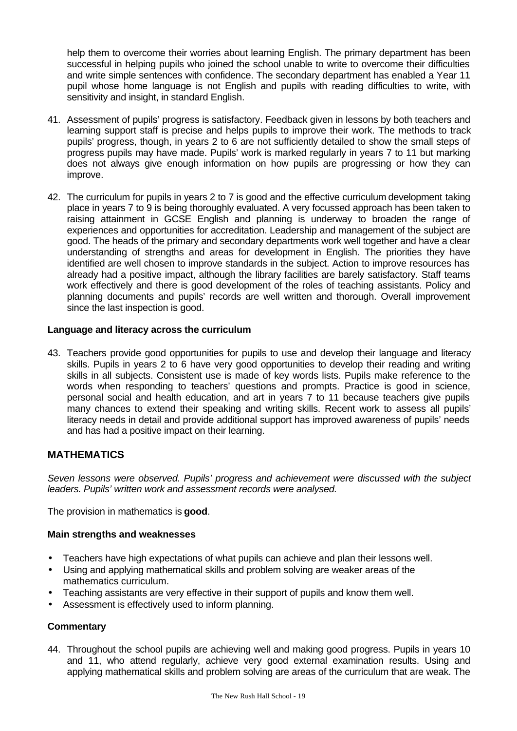help them to overcome their worries about learning English. The primary department has been successful in helping pupils who joined the school unable to write to overcome their difficulties and write simple sentences with confidence. The secondary department has enabled a Year 11 pupil whose home language is not English and pupils with reading difficulties to write, with sensitivity and insight, in standard English.

- 41. Assessment of pupils' progress is satisfactory. Feedback given in lessons by both teachers and learning support staff is precise and helps pupils to improve their work. The methods to track pupils' progress, though, in years 2 to 6 are not sufficiently detailed to show the small steps of progress pupils may have made. Pupils' work is marked regularly in years 7 to 11 but marking does not always give enough information on how pupils are progressing or how they can improve.
- 42. The curriculum for pupils in years 2 to 7 is good and the effective curriculum development taking place in years 7 to 9 is being thoroughly evaluated. A very focussed approach has been taken to raising attainment in GCSE English and planning is underway to broaden the range of experiences and opportunities for accreditation. Leadership and management of the subject are good. The heads of the primary and secondary departments work well together and have a clear understanding of strengths and areas for development in English. The priorities they have identified are well chosen to improve standards in the subject. Action to improve resources has already had a positive impact, although the library facilities are barely satisfactory. Staff teams work effectively and there is good development of the roles of teaching assistants. Policy and planning documents and pupils' records are well written and thorough. Overall improvement since the last inspection is good.

# **Language and literacy across the curriculum**

43. Teachers provide good opportunities for pupils to use and develop their language and literacy skills. Pupils in years 2 to 6 have very good opportunities to develop their reading and writing skills in all subjects. Consistent use is made of key words lists. Pupils make reference to the words when responding to teachers' questions and prompts. Practice is good in science, personal social and health education, and art in years 7 to 11 because teachers give pupils many chances to extend their speaking and writing skills. Recent work to assess all pupils' literacy needs in detail and provide additional support has improved awareness of pupils' needs and has had a positive impact on their learning.

# **MATHEMATICS**

*Seven lessons were observed. Pupils' progress and achievement were discussed with the subject leaders. Pupils' written work and assessment records were analysed.*

The provision in mathematics is **good**.

#### **Main strengths and weaknesses**

- Teachers have high expectations of what pupils can achieve and plan their lessons well.
- Using and applying mathematical skills and problem solving are weaker areas of the mathematics curriculum.
- Teaching assistants are very effective in their support of pupils and know them well.
- Assessment is effectively used to inform planning.

# **Commentary**

44. Throughout the school pupils are achieving well and making good progress. Pupils in years 10 and 11, who attend regularly, achieve very good external examination results. Using and applying mathematical skills and problem solving are areas of the curriculum that are weak. The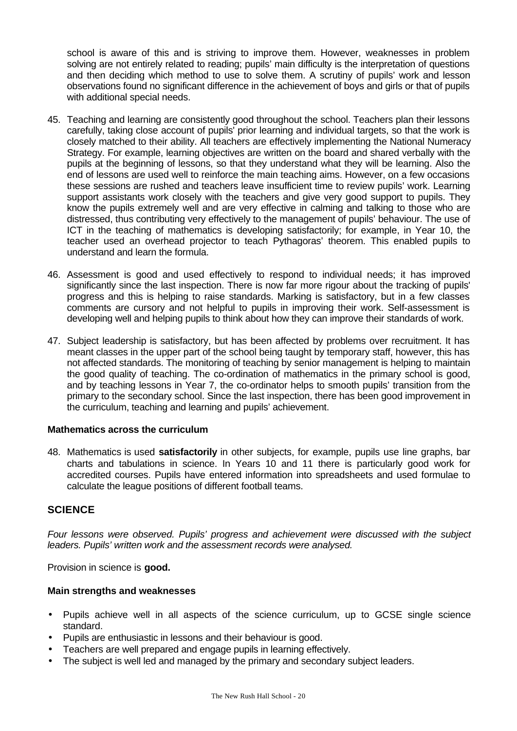school is aware of this and is striving to improve them. However, weaknesses in problem solving are not entirely related to reading; pupils' main difficulty is the interpretation of questions and then deciding which method to use to solve them. A scrutiny of pupils' work and lesson observations found no significant difference in the achievement of boys and girls or that of pupils with additional special needs.

- 45. Teaching and learning are consistently good throughout the school. Teachers plan their lessons carefully, taking close account of pupils' prior learning and individual targets, so that the work is closely matched to their ability. All teachers are effectively implementing the National Numeracy Strategy. For example, learning objectives are written on the board and shared verbally with the pupils at the beginning of lessons, so that they understand what they will be learning. Also the end of lessons are used well to reinforce the main teaching aims. However, on a few occasions these sessions are rushed and teachers leave insufficient time to review pupils' work. Learning support assistants work closely with the teachers and give very good support to pupils. They know the pupils extremely well and are very effective in calming and talking to those who are distressed, thus contributing very effectively to the management of pupils' behaviour. The use of ICT in the teaching of mathematics is developing satisfactorily; for example, in Year 10, the teacher used an overhead projector to teach Pythagoras' theorem. This enabled pupils to understand and learn the formula.
- 46. Assessment is good and used effectively to respond to individual needs; it has improved significantly since the last inspection. There is now far more rigour about the tracking of pupils' progress and this is helping to raise standards. Marking is satisfactory, but in a few classes comments are cursory and not helpful to pupils in improving their work. Self-assessment is developing well and helping pupils to think about how they can improve their standards of work.
- 47. Subject leadership is satisfactory, but has been affected by problems over recruitment. It has meant classes in the upper part of the school being taught by temporary staff, however, this has not affected standards. The monitoring of teaching by senior management is helping to maintain the good quality of teaching. The co-ordination of mathematics in the primary school is good, and by teaching lessons in Year 7, the co-ordinator helps to smooth pupils' transition from the primary to the secondary school. Since the last inspection, there has been good improvement in the curriculum, teaching and learning and pupils' achievement.

# **Mathematics across the curriculum**

48. Mathematics is used **satisfactorily** in other subjects, for example, pupils use line graphs, bar charts and tabulations in science. In Years 10 and 11 there is particularly good work for accredited courses. Pupils have entered information into spreadsheets and used formulae to calculate the league positions of different football teams.

# **SCIENCE**

*Four lessons were observed. Pupils' progress and achievement were discussed with the subject leaders. Pupils' written work and the assessment records were analysed.*

Provision in science is **good.**

# **Main strengths and weaknesses**

- Pupils achieve well in all aspects of the science curriculum, up to GCSE single science standard.
- Pupils are enthusiastic in lessons and their behaviour is good.
- Teachers are well prepared and engage pupils in learning effectively.
- The subject is well led and managed by the primary and secondary subject leaders.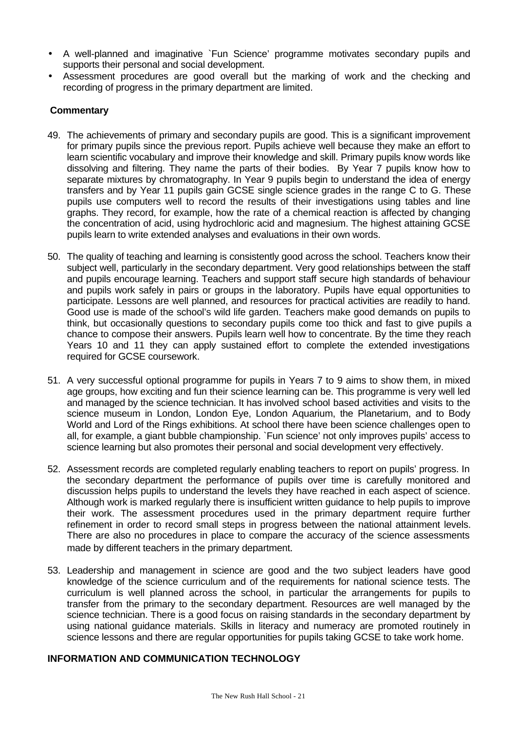- A well-planned and imaginative `Fun Science' programme motivates secondary pupils and supports their personal and social development.
- Assessment procedures are good overall but the marking of work and the checking and recording of progress in the primary department are limited.

# **Commentary**

- 49. The achievements of primary and secondary pupils are good. This is a significant improvement for primary pupils since the previous report. Pupils achieve well because they make an effort to learn scientific vocabulary and improve their knowledge and skill. Primary pupils know words like dissolving and filtering. They name the parts of their bodies. By Year 7 pupils know how to separate mixtures by chromatography. In Year 9 pupils begin to understand the idea of energy transfers and by Year 11 pupils gain GCSE single science grades in the range C to G. These pupils use computers well to record the results of their investigations using tables and line graphs. They record, for example, how the rate of a chemical reaction is affected by changing the concentration of acid, using hydrochloric acid and magnesium. The highest attaining GCSE pupils learn to write extended analyses and evaluations in their own words.
- 50. The quality of teaching and learning is consistently good across the school. Teachers know their subject well, particularly in the secondary department. Very good relationships between the staff and pupils encourage learning. Teachers and support staff secure high standards of behaviour and pupils work safely in pairs or groups in the laboratory. Pupils have equal opportunities to participate. Lessons are well planned, and resources for practical activities are readily to hand. Good use is made of the school's wild life garden. Teachers make good demands on pupils to think, but occasionally questions to secondary pupils come too thick and fast to give pupils a chance to compose their answers. Pupils learn well how to concentrate. By the time they reach Years 10 and 11 they can apply sustained effort to complete the extended investigations required for GCSE coursework.
- 51. A very successful optional programme for pupils in Years 7 to 9 aims to show them, in mixed age groups, how exciting and fun their science learning can be. This programme is very well led and managed by the science technician. It has involved school based activities and visits to the science museum in London, London Eye, London Aquarium, the Planetarium, and to Body World and Lord of the Rings exhibitions. At school there have been science challenges open to all, for example, a giant bubble championship. `Fun science' not only improves pupils' access to science learning but also promotes their personal and social development very effectively.
- 52. Assessment records are completed regularly enabling teachers to report on pupils' progress. In the secondary department the performance of pupils over time is carefully monitored and discussion helps pupils to understand the levels they have reached in each aspect of science. Although work is marked regularly there is insufficient written guidance to help pupils to improve their work. The assessment procedures used in the primary department require further refinement in order to record small steps in progress between the national attainment levels. There are also no procedures in place to compare the accuracy of the science assessments made by different teachers in the primary department.
- 53. Leadership and management in science are good and the two subject leaders have good knowledge of the science curriculum and of the requirements for national science tests. The curriculum is well planned across the school, in particular the arrangements for pupils to transfer from the primary to the secondary department. Resources are well managed by the science technician. There is a good focus on raising standards in the secondary department by using national guidance materials. Skills in literacy and numeracy are promoted routinely in science lessons and there are regular opportunities for pupils taking GCSE to take work home.

# **INFORMATION AND COMMUNICATION TECHNOLOGY**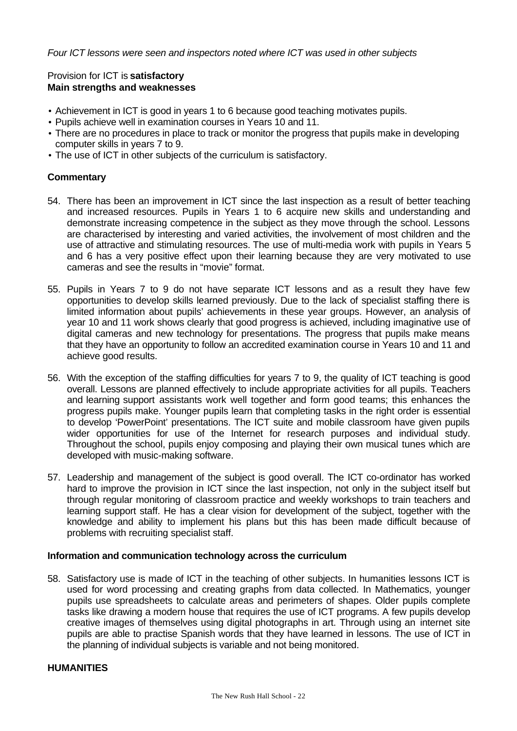## Provision for ICT is **satisfactory Main strengths and weaknesses**

- Achievement in ICT is good in years 1 to 6 because good teaching motivates pupils.
- Pupils achieve well in examination courses in Years 10 and 11.
- There are no procedures in place to track or monitor the progress that pupils make in developing computer skills in years 7 to 9.
- The use of ICT in other subjects of the curriculum is satisfactory.

# **Commentary**

- 54. There has been an improvement in ICT since the last inspection as a result of better teaching and increased resources. Pupils in Years 1 to 6 acquire new skills and understanding and demonstrate increasing competence in the subject as they move through the school. Lessons are characterised by interesting and varied activities, the involvement of most children and the use of attractive and stimulating resources. The use of multi-media work with pupils in Years 5 and 6 has a very positive effect upon their learning because they are very motivated to use cameras and see the results in "movie" format.
- 55. Pupils in Years 7 to 9 do not have separate ICT lessons and as a result they have few opportunities to develop skills learned previously. Due to the lack of specialist staffing there is limited information about pupils' achievements in these year groups. However, an analysis of year 10 and 11 work shows clearly that good progress is achieved, including imaginative use of digital cameras and new technology for presentations. The progress that pupils make means that they have an opportunity to follow an accredited examination course in Years 10 and 11 and achieve good results.
- 56. With the exception of the staffing difficulties for years 7 to 9, the quality of ICT teaching is good overall. Lessons are planned effectively to include appropriate activities for all pupils. Teachers and learning support assistants work well together and form good teams; this enhances the progress pupils make. Younger pupils learn that completing tasks in the right order is essential to develop 'PowerPoint' presentations. The ICT suite and mobile classroom have given pupils wider opportunities for use of the Internet for research purposes and individual study. Throughout the school, pupils enjoy composing and playing their own musical tunes which are developed with music-making software.
- 57. Leadership and management of the subject is good overall. The ICT co-ordinator has worked hard to improve the provision in ICT since the last inspection, not only in the subject itself but through regular monitoring of classroom practice and weekly workshops to train teachers and learning support staff. He has a clear vision for development of the subject, together with the knowledge and ability to implement his plans but this has been made difficult because of problems with recruiting specialist staff.

#### **Information and communication technology across the curriculum**

58. Satisfactory use is made of ICT in the teaching of other subjects. In humanities lessons ICT is used for word processing and creating graphs from data collected. In Mathematics, younger pupils use spreadsheets to calculate areas and perimeters of shapes. Older pupils complete tasks like drawing a modern house that requires the use of ICT programs. A few pupils develop creative images of themselves using digital photographs in art. Through using an internet site pupils are able to practise Spanish words that they have learned in lessons. The use of ICT in the planning of individual subjects is variable and not being monitored.

#### **HUMANITIES**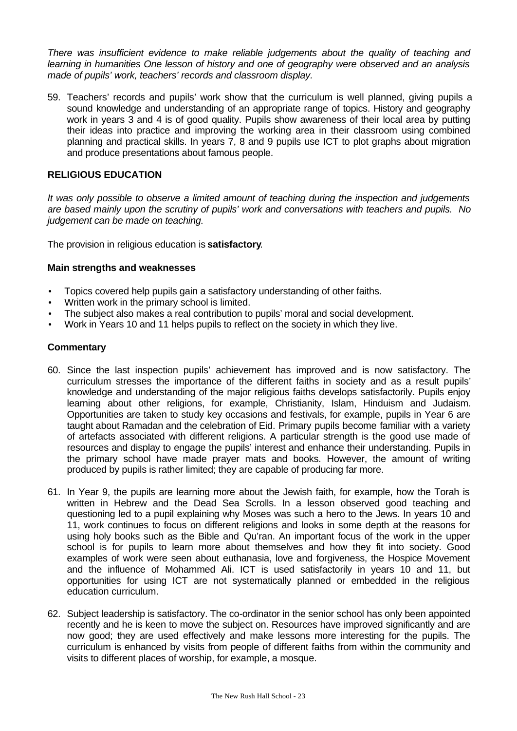*There was insufficient evidence to make reliable judgements about the quality of teaching and learning in humanities One lesson of history and one of geography were observed and an analysis made of pupils' work, teachers' records and classroom display.*

59. Teachers' records and pupils' work show that the curriculum is well planned, giving pupils a sound knowledge and understanding of an appropriate range of topics. History and geography work in years 3 and 4 is of good quality. Pupils show awareness of their local area by putting their ideas into practice and improving the working area in their classroom using combined planning and practical skills. In years 7, 8 and 9 pupils use ICT to plot graphs about migration and produce presentations about famous people.

# **RELIGIOUS EDUCATION**

*It was only possible to observe a limited amount of teaching during the inspection and judgements are based mainly upon the scrutiny of pupils' work and conversations with teachers and pupils. No judgement can be made on teaching.*

The provision in religious education is **satisfactory**.

### **Main strengths and weaknesses**

- Topics covered help pupils gain a satisfactory understanding of other faiths.
- Written work in the primary school is limited.
- The subject also makes a real contribution to pupils' moral and social development.
- Work in Years 10 and 11 helps pupils to reflect on the society in which they live.

- 60. Since the last inspection pupils' achievement has improved and is now satisfactory. The curriculum stresses the importance of the different faiths in society and as a result pupils' knowledge and understanding of the major religious faiths develops satisfactorily. Pupils enjoy learning about other religions, for example, Christianity, Islam, Hinduism and Judaism. Opportunities are taken to study key occasions and festivals, for example, pupils in Year 6 are taught about Ramadan and the celebration of Eid. Primary pupils become familiar with a variety of artefacts associated with different religions. A particular strength is the good use made of resources and display to engage the pupils' interest and enhance their understanding. Pupils in the primary school have made prayer mats and books. However, the amount of writing produced by pupils is rather limited; they are capable of producing far more.
- 61. In Year 9, the pupils are learning more about the Jewish faith, for example, how the Torah is written in Hebrew and the Dead Sea Scrolls. In a lesson observed good teaching and questioning led to a pupil explaining why Moses was such a hero to the Jews. In years 10 and 11, work continues to focus on different religions and looks in some depth at the reasons for using holy books such as the Bible and Qu'ran. An important focus of the work in the upper school is for pupils to learn more about themselves and how they fit into society. Good examples of work were seen about euthanasia, love and forgiveness, the Hospice Movement and the influence of Mohammed Ali. ICT is used satisfactorily in years 10 and 11, but opportunities for using ICT are not systematically planned or embedded in the religious education curriculum.
- 62. Subject leadership is satisfactory. The co-ordinator in the senior school has only been appointed recently and he is keen to move the subject on. Resources have improved significantly and are now good; they are used effectively and make lessons more interesting for the pupils. The curriculum is enhanced by visits from people of different faiths from within the community and visits to different places of worship, for example, a mosque.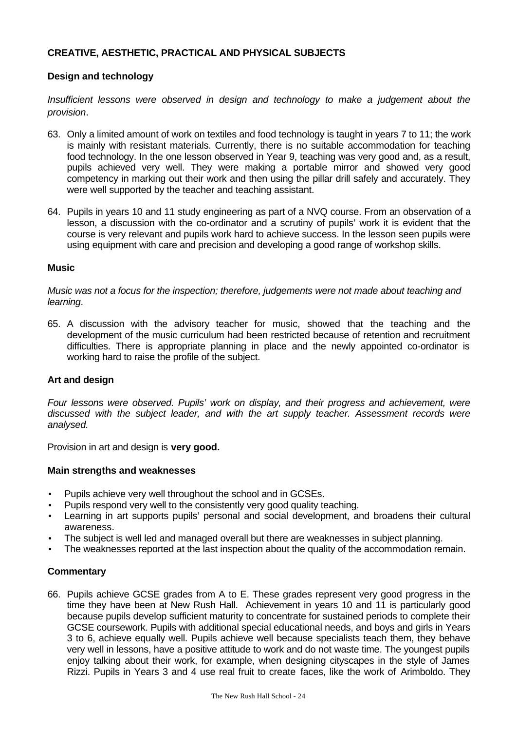# **CREATIVE, AESTHETIC, PRACTICAL AND PHYSICAL SUBJECTS**

# **Design and technology**

*Insufficient lessons were observed in design and technology to make a judgement about the provision*.

- 63. Only a limited amount of work on textiles and food technology is taught in years 7 to 11; the work is mainly with resistant materials. Currently, there is no suitable accommodation for teaching food technology. In the one lesson observed in Year 9, teaching was very good and, as a result, pupils achieved very well. They were making a portable mirror and showed very good competency in marking out their work and then using the pillar drill safely and accurately. They were well supported by the teacher and teaching assistant.
- 64. Pupils in years 10 and 11 study engineering as part of a NVQ course. From an observation of a lesson, a discussion with the co-ordinator and a scrutiny of pupils' work it is evident that the course is very relevant and pupils work hard to achieve success. In the lesson seen pupils were using equipment with care and precision and developing a good range of workshop skills.

### **Music**

*Music was not a focus for the inspection; therefore, judgements were not made about teaching and learning*.

65. A discussion with the advisory teacher for music, showed that the teaching and the development of the music curriculum had been restricted because of retention and recruitment difficulties. There is appropriate planning in place and the newly appointed co-ordinator is working hard to raise the profile of the subject.

# **Art and design**

*Four lessons were observed. Pupils' work on display, and their progress and achievement, were discussed with the subject leader, and with the art supply teacher. Assessment records were analysed.*

Provision in art and design is **very good.**

# **Main strengths and weaknesses**

- Pupils achieve very well throughout the school and in GCSEs.
- Pupils respond very well to the consistently very good quality teaching.
- Learning in art supports pupils' personal and social development, and broadens their cultural awareness.
- The subject is well led and managed overall but there are weaknesses in subject planning.
- The weaknesses reported at the last inspection about the quality of the accommodation remain.

# **Commentary**

66. Pupils achieve GCSE grades from A to E. These grades represent very good progress in the time they have been at New Rush Hall. Achievement in years 10 and 11 is particularly good because pupils develop sufficient maturity to concentrate for sustained periods to complete their GCSE coursework. Pupils with additional special educational needs, and boys and girls in Years 3 to 6, achieve equally well. Pupils achieve well because specialists teach them, they behave very well in lessons, have a positive attitude to work and do not waste time. The youngest pupils enjoy talking about their work, for example, when designing cityscapes in the style of James Rizzi. Pupils in Years 3 and 4 use real fruit to create faces, like the work of Arimboldo. They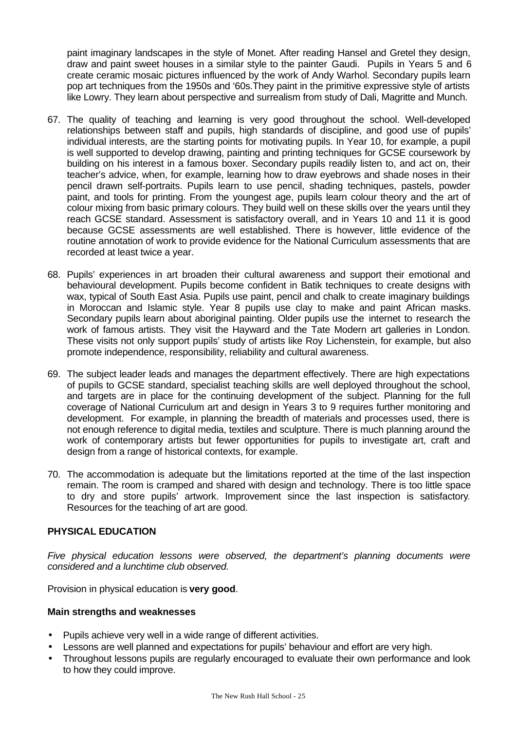paint imaginary landscapes in the style of Monet. After reading Hansel and Gretel they design, draw and paint sweet houses in a similar style to the painter Gaudi. Pupils in Years 5 and 6 create ceramic mosaic pictures influenced by the work of Andy Warhol. Secondary pupils learn pop art techniques from the 1950s and '60s.They paint in the primitive expressive style of artists like Lowry. They learn about perspective and surrealism from study of Dali, Magritte and Munch.

- 67. The quality of teaching and learning is very good throughout the school. Well-developed relationships between staff and pupils, high standards of discipline, and good use of pupils' individual interests, are the starting points for motivating pupils. In Year 10, for example, a pupil is well supported to develop drawing, painting and printing techniques for GCSE coursework by building on his interest in a famous boxer. Secondary pupils readily listen to, and act on, their teacher's advice, when, for example, learning how to draw eyebrows and shade noses in their pencil drawn self-portraits. Pupils learn to use pencil, shading techniques, pastels, powder paint, and tools for printing. From the youngest age, pupils learn colour theory and the art of colour mixing from basic primary colours. They build well on these skills over the years until they reach GCSE standard. Assessment is satisfactory overall, and in Years 10 and 11 it is good because GCSE assessments are well established. There is however, little evidence of the routine annotation of work to provide evidence for the National Curriculum assessments that are recorded at least twice a year.
- 68. Pupils' experiences in art broaden their cultural awareness and support their emotional and behavioural development. Pupils become confident in Batik techniques to create designs with wax, typical of South East Asia. Pupils use paint, pencil and chalk to create imaginary buildings in Moroccan and Islamic style. Year 8 pupils use clay to make and paint African masks. Secondary pupils learn about aboriginal painting. Older pupils use the internet to research the work of famous artists. They visit the Hayward and the Tate Modern art galleries in London. These visits not only support pupils' study of artists like Roy Lichenstein, for example, but also promote independence, responsibility, reliability and cultural awareness.
- 69. The subject leader leads and manages the department effectively. There are high expectations of pupils to GCSE standard, specialist teaching skills are well deployed throughout the school, and targets are in place for the continuing development of the subject. Planning for the full coverage of National Curriculum art and design in Years 3 to 9 requires further monitoring and development. For example, in planning the breadth of materials and processes used, there is not enough reference to digital media, textiles and sculpture. There is much planning around the work of contemporary artists but fewer opportunities for pupils to investigate art, craft and design from a range of historical contexts, for example.
- 70. The accommodation is adequate but the limitations reported at the time of the last inspection remain. The room is cramped and shared with design and technology. There is too little space to dry and store pupils' artwork. Improvement since the last inspection is satisfactory. Resources for the teaching of art are good.

# **PHYSICAL EDUCATION**

*Five physical education lessons were observed, the department's planning documents were considered and a lunchtime club observed.*

Provision in physical education is **very good**.

# **Main strengths and weaknesses**

- Pupils achieve very well in a wide range of different activities.
- Lessons are well planned and expectations for pupils' behaviour and effort are very high.
- Throughout lessons pupils are regularly encouraged to evaluate their own performance and look to how they could improve.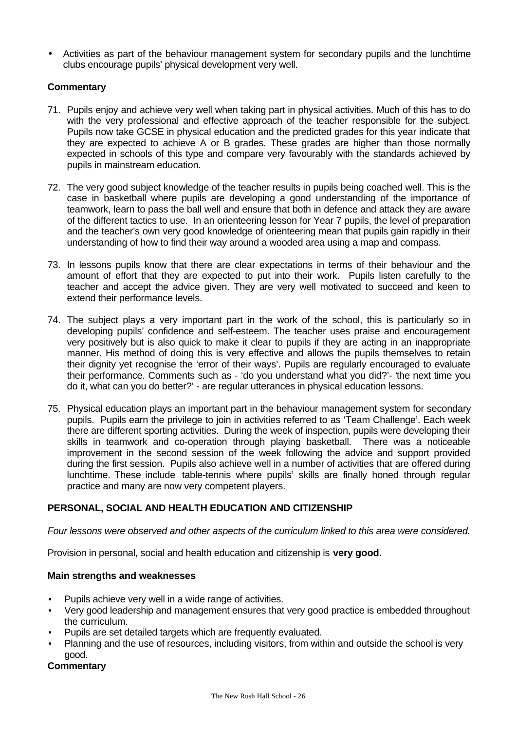• Activities as part of the behaviour management system for secondary pupils and the lunchtime clubs encourage pupils' physical development very well.

# **Commentary**

- 71. Pupils enjoy and achieve very well when taking part in physical activities. Much of this has to do with the very professional and effective approach of the teacher responsible for the subject. Pupils now take GCSE in physical education and the predicted grades for this year indicate that they are expected to achieve A or B grades. These grades are higher than those normally expected in schools of this type and compare very favourably with the standards achieved by pupils in mainstream education.
- 72. The very good subject knowledge of the teacher results in pupils being coached well. This is the case in basketball where pupils are developing a good understanding of the importance of teamwork, learn to pass the ball well and ensure that both in defence and attack they are aware of the different tactics to use. In an orienteering lesson for Year 7 pupils, the level of preparation and the teacher's own very good knowledge of orienteering mean that pupils gain rapidly in their understanding of how to find their way around a wooded area using a map and compass.
- 73. In lessons pupils know that there are clear expectations in terms of their behaviour and the amount of effort that they are expected to put into their work. Pupils listen carefully to the teacher and accept the advice given. They are very well motivated to succeed and keen to extend their performance levels.
- 74. The subject plays a very important part in the work of the school, this is particularly so in developing pupils' confidence and self-esteem. The teacher uses praise and encouragement very positively but is also quick to make it clear to pupils if they are acting in an inappropriate manner. His method of doing this is very effective and allows the pupils themselves to retain their dignity yet recognise the 'error of their ways'. Pupils are regularly encouraged to evaluate their performance. Comments such as - 'do you understand what you did?'- 'the next time you do it, what can you do better?' - are regular utterances in physical education lessons.
- 75. Physical education plays an important part in the behaviour management system for secondary pupils. Pupils earn the privilege to join in activities referred to as 'Team Challenge'. Each week there are different sporting activities. During the week of inspection, pupils were developing their skills in teamwork and co-operation through playing basketball. There was a noticeable improvement in the second session of the week following the advice and support provided during the first session. Pupils also achieve well in a number of activities that are offered during lunchtime. These include table-tennis where pupils' skills are finally honed through regular practice and many are now very competent players.

# **PERSONAL, SOCIAL AND HEALTH EDUCATION AND CITIZENSHIP**

*Four lessons were observed and other aspects of the curriculum linked to this area were considered.*

Provision in personal, social and health education and citizenship is **very good.**

# **Main strengths and weaknesses**

- Pupils achieve very well in a wide range of activities.
- Very good leadership and management ensures that very good practice is embedded throughout the curriculum.
- Pupils are set detailed targets which are frequently evaluated.
- Planning and the use of resources, including visitors, from within and outside the school is very good.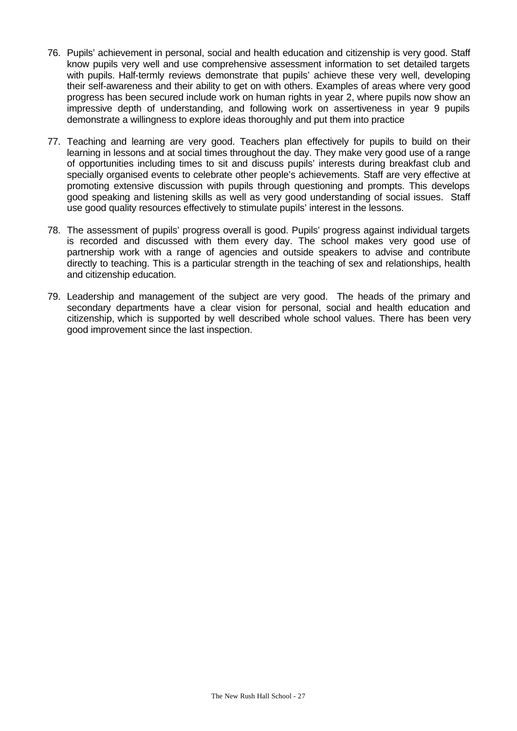- 76. Pupils' achievement in personal, social and health education and citizenship is very good. Staff know pupils very well and use comprehensive assessment information to set detailed targets with pupils. Half-termly reviews demonstrate that pupils' achieve these very well, developing their self-awareness and their ability to get on with others. Examples of areas where very good progress has been secured include work on human rights in year 2, where pupils now show an impressive depth of understanding, and following work on assertiveness in year 9 pupils demonstrate a willingness to explore ideas thoroughly and put them into practice
- 77. Teaching and learning are very good. Teachers plan effectively for pupils to build on their learning in lessons and at social times throughout the day. They make very good use of a range of opportunities including times to sit and discuss pupils' interests during breakfast club and specially organised events to celebrate other people's achievements. Staff are very effective at promoting extensive discussion with pupils through questioning and prompts. This develops good speaking and listening skills as well as very good understanding of social issues. Staff use good quality resources effectively to stimulate pupils' interest in the lessons.
- 78. The assessment of pupils' progress overall is good. Pupils' progress against individual targets is recorded and discussed with them every day. The school makes very good use of partnership work with a range of agencies and outside speakers to advise and contribute directly to teaching. This is a particular strength in the teaching of sex and relationships, health and citizenship education.
- 79. Leadership and management of the subject are very good. The heads of the primary and secondary departments have a clear vision for personal, social and health education and citizenship, which is supported by well described whole school values. There has been very good improvement since the last inspection.